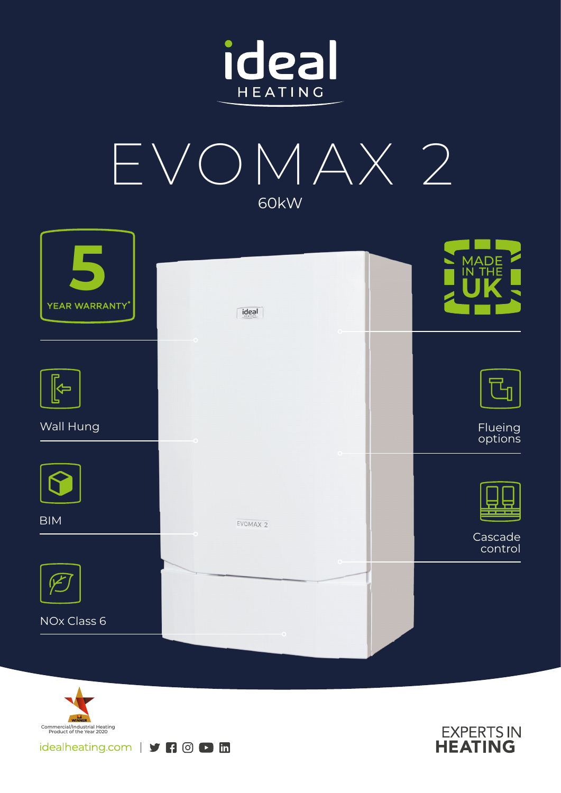









idealheating.com | y | 0 D in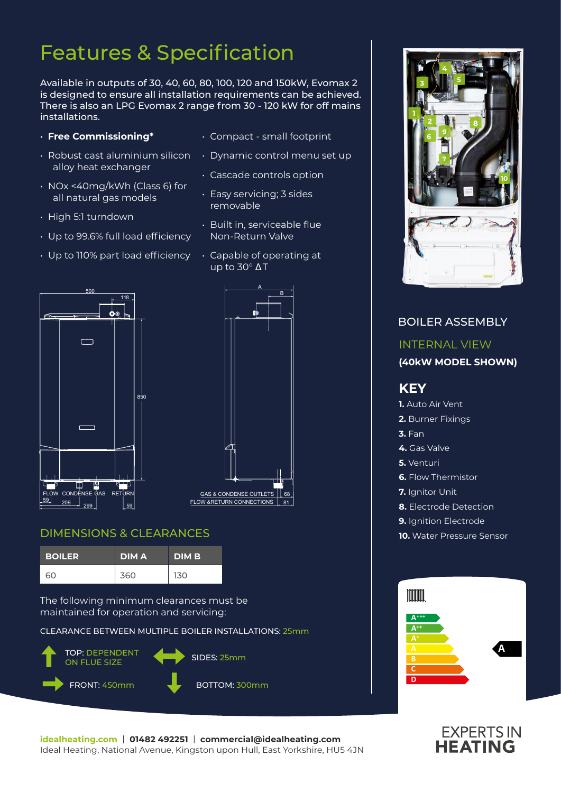## Features & Specification

Available in outputs of 30, 40, 60, 80, 100, 120 and 150kW, Evomax 2 is designed to ensure all installation requirements can be achieved. There is also an LPG Evomax 2 range from 30 - 120 kW for off mains installations.

- **Free Commissioning\***
- Robust cast aluminium silicon alloy heat exchanger
- NOx <40mg/kWh (Class 6) for all natural gas models
- High 5:1 turndown
- Up to 99.6% full load efficiency
- Up to 110% part load efficiency
- Compact small footprint
- Dynamic control menu set up
- Cascade controls option
- Easy servicing; 3 sides removable
- Built in, serviceable flue Non-Return Valve
- Capable of operating at up to 30° Δ T





### DIMENSIONS & CLEARANCES

| <b>BOILER</b> | <b>DIMA</b> | <b>DIMB</b> |
|---------------|-------------|-------------|
| റെ            | 360         | 130         |

The following minimum clearances must be maintained for operation and servicing:

CLEARANCE BETWEEN MULTIPLE BOILER INSTALLATIONS: 25mm





BOILER ASSEMBLY

### INTERNAL VIEW **(40kW MODEL SHOWN) KEY 1.** Auto Air Vent **2.** Burner Fixings **3.** Fan **4.** Gas Valve **5.** Venturi **6.** Flow Thermistor **7.** Ianitor Unit **8.** Electrode Detection **9.** Ignition Electrode **10.** Water Pressure Sensor Imm



# **EXPERTS IN**<br>**HEATING**

**idealheating.com** | **01482 492251** | **commercial@idealheating.com**  Ideal Heating, National Avenue, Kingston upon Hull, East Yorkshire, HU5 4JN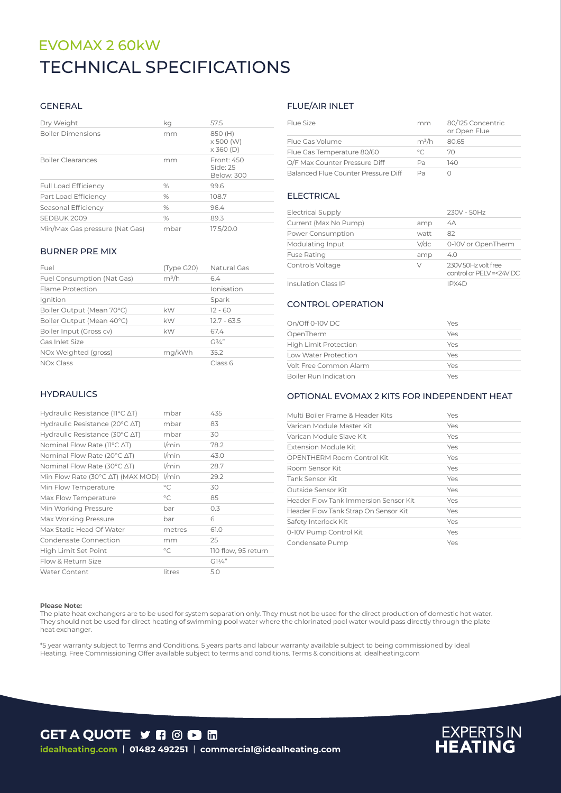### EVOMAX 2 60kW TECHNICAL SPECIFICATIONS

### GENERAL

| Dry Weight                     | kq   | 57.5                                            |
|--------------------------------|------|-------------------------------------------------|
| <b>Boiler Dimensions</b>       | mm   | 850 (H)<br>$\times$ 500 (W)<br>$\times$ 360 (D) |
| <b>Boiler Clearances</b>       | mm   | Front: 450<br>Side: 25<br>Below: 300            |
| <b>Full Load Efficiency</b>    | $\%$ | 99.6                                            |
| Part Load Efficiency           | $\%$ | 108.7                                           |
| Seasonal Efficiency            | $\%$ | 96.4                                            |
| SEDBUK 2009                    | $\%$ | 89.3                                            |
| Min/Max Gas pressure (Nat Gas) | mbar | 17.5/20.0                                       |

#### BURNER PRE MIX

| Fuel                       | (Type G20) | Natural Gas      |
|----------------------------|------------|------------------|
| Fuel Consumption (Nat Gas) | $m^3/h$    | 64               |
| Flame Protection           |            | Ionisation       |
| Ignition                   |            | Spark            |
| Boiler Output (Mean 70°C)  | kW         | $12 - 60$        |
| Boiler Output (Mean 40°C)  | kW         | $12.7 - 63.5$    |
| Boiler Input (Gross cv)    | kW         | 67.4             |
| Gas Inlet Size             |            | $C_1^3/\angle$ " |
| NOx Weighted (gross)       | mg/kWh     | 352              |
| <b>NOx Class</b>           |            | Class 6          |

#### **HYDRAULICS**

| Hydraulic Resistance ( $11^{\circ}$ C $\Delta$ T)   | mbar        | 435                 |
|-----------------------------------------------------|-------------|---------------------|
| Hydraulic Resistance (20 $\degree$ C $\triangle$ T) | mbar        | 83                  |
| Hydraulic Resistance (30 $\degree$ C $\triangle$ T) | mbar        | 30                  |
| Nominal Flow Rate (11°C ΔT)                         | $1/m$ in    | 78.2                |
| Nominal Flow Rate (20 $\degree$ C $\triangle$ T)    | $1/m$ in    | 43.0                |
| Nominal Flow Rate (30°C ∆T)                         | l/min       | 28.7                |
| Min Flow Rate (30°C AT) (MAX MOD)                   | 1/min       | 29.2                |
| Min Flow Temperature                                | $^{\circ}C$ | 30                  |
| Max Flow Temperature                                | $^{\circ}C$ | 85                  |
| Min Working Pressure                                | bar         | 0.3                 |
| Max Working Pressure                                | bar         | 6                   |
| Max Static Head Of Water                            | metres      | 61.0                |
| Condensate Connection                               | mm          | 25                  |
| High Limit Set Point                                | $^{\circ}C$ | 110 flow, 95 return |
| Flow & Return Size                                  |             | $G1\frac{1}{4}$     |
| <b>Water Content</b>                                | litres      | 5.0                 |

### FLUE/AIR INLET

| Flue Size                           | mm             | 80/125 Concentric<br>or Open Flue |
|-------------------------------------|----------------|-----------------------------------|
| Flue Gas Volume                     | $m^3/h$        | 80.65                             |
| Flue Gas Temperature 80/60          | $\circ$ $\sim$ | 70                                |
| O/F Max Counter Pressure Diff       | Pа             | 140                               |
| Balanced Flue Counter Pressure Diff | Рa             |                                   |

### ELECTRICAL

| <b>Electrical Supply</b>   |         | 230V - 50Hz                                     |
|----------------------------|---------|-------------------------------------------------|
| Current (Max No Pump)      | amp     | 4A                                              |
| Power Consumption          | watt    | 82                                              |
| Modulating Input           | $V$ /dc | 0-10V or OpenTherm                              |
| <b>Fuse Rating</b>         | amp     | 4.0                                             |
| Controls Voltage           | V       | 230V 50Hz volt free<br>control or PELV =<24V DC |
| <b>Insulation Class IP</b> |         | IPX4D                                           |

### CONTROL OPERATION

| On/Off 0-10V DC              | Yes |
|------------------------------|-----|
| OpenTherm                    | Yes |
| <b>High Limit Protection</b> | Yes |
| Low Water Protection         | Yes |
| Volt Free Common Alarm       | Yes |
| Boiler Run Indication        | Yes |

### OPTIONAL EVOMAX 2 KITS FOR INDEPENDENT HEAT

| Multi Boiler Frame & Header Kits      | Yes |
|---------------------------------------|-----|
| Varican Module Master Kit             | Yes |
| Varican Module Slave Kit              | Yes |
| Extension Module Kit                  | Yes |
| OPENTHERM Room Control Kit            | Yes |
| Room Sensor Kit                       | Yes |
| Tank Sensor Kit                       | Yes |
| Outside Sensor Kit                    | Yes |
| Header Flow Tank Immersion Sensor Kit | Yes |
| Header Flow Tank Strap On Sensor Kit  | Yes |
| Safety Interlock Kit                  | Yes |
| 0-10V Pump Control Kit                | Yes |
| Condensate Pump                       | Yes |

#### **Please Note:**

The plate heat exchangers are to be used for system separation only. They must not be used for the direct production of domestic hot water. They should not be used for direct heating of swimming pool water where the chlorinated pool water would pass directly through the plate heat exchanger.

\*5 year warranty subject to Terms and Conditions. 5 years parts and labour warranty available subject to being commissioned by Ideal Heating. Free Commissioning Offer available subject to terms and conditions. Terms & conditions at idealheating.com



## **EXPERTS IN**<br>**HEATING**